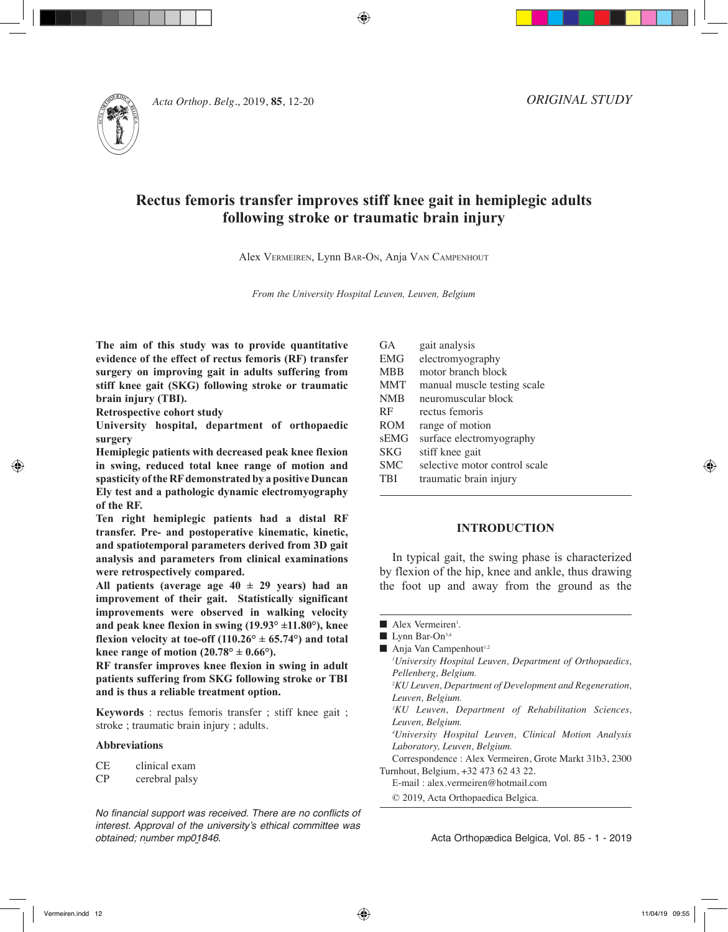

**Acta Orthop. Belg., 2019, <b>85**, 12-20

*ORIGINAL STUDY*

# **Rectus femoris transfer improves stiff knee gait in hemiplegic adults following stroke or traumatic brain injury**

⊕

Alex Vermeiren, Lynn Bar-On, Anja Van Campenhout

*From the University Hospital Leuven, Leuven, Belgium*

**The aim of this study was to provide quantitative evidence of the effect of rectus femoris (RF) transfer surgery on improving gait in adults suffering from stiff knee gait (SKG) following stroke or traumatic brain injury (TBI).**

**Retrospective cohort study**

**University hospital, department of orthopaedic surgery**

**Hemiplegic patients with decreased peak knee flexion in swing, reduced total knee range of motion and spasticity of the RF demonstrated by a positive Duncan Ely test and a pathologic dynamic electromyography of the RF.**

**Ten right hemiplegic patients had a distal RF transfer. Pre- and postoperative kinematic, kinetic, and spatiotemporal parameters derived from 3D gait analysis and parameters from clinical examinations were retrospectively compared.**

**All patients (average age 40 ± 29 years) had an improvement of their gait. Statistically significant improvements were observed in walking velocity and peak knee flexion in swing (19.93° ±11.80°), knee flexion velocity at toe-off (110.26°**  $\pm$  **65.74°) and total** knee range of motion  $(20.78^{\circ} \pm 0.66^{\circ})$ .

**RF transfer improves knee flexion in swing in adult patients suffering from SKG following stroke or TBI and is thus a reliable treatment option.**

**Keywords** : rectus femoris transfer ; stiff knee gait ; stroke ; traumatic brain injury ; adults.

### **Abbreviations**

CE clinical exam

CP cerebral palsy

*No financial support was received. There are no conflicts of*  interest. Approval of the university's ethical committee was obtained; number mp01846.

| <b>GA</b>  | gait analysis                 |
|------------|-------------------------------|
| <b>EMG</b> | electromyography              |
| <b>MBB</b> | motor branch block            |
| <b>MMT</b> | manual muscle testing scale   |
| <b>NMB</b> | neuromuscular block           |
| RF         | rectus femoris                |
| <b>ROM</b> | range of motion               |
| sEMG       | surface electromyography      |
| <b>SKG</b> | stiff knee gait               |
| <b>SMC</b> | selective motor control scale |
| <b>TBI</b> | traumatic brain injury        |
|            |                               |

### **INTRODUCTION**

In typical gait, the swing phase is characterized by flexion of the hip, knee and ankle, thus drawing the foot up and away from the ground as the

- Alex Vermeiren<sup>1</sup>.
- $\blacksquare$  Lynn Bar-On<sup>3,4</sup>
- $\blacksquare$  Anja Van Campenhout<sup>1,2</sup>

*1 University Hospital Leuven, Department of Orthopaedics, Pellenberg, Belgium. 2 KU Leuven, Department of Development and Regeneration,* 

*Leuven, Belgium.*

- *3 KU Leuven, Department of Rehabilitation Sciences, Leuven, Belgium.*
- *4 University Hospital Leuven, Clinical Motion Analysis Laboratory, Leuven, Belgium.*

Correspondence : Alex Vermeiren, Grote Markt 31b3, 2300 Turnhout, Belgium, +32 473 62 43 22.

- E-mail : alex.vermeiren@hotmail.com
- © 2019, Acta Orthopaedica Belgica.

Acta Orthopædica Belgica, Vol. 85 - 1 - 2019

Vermeiren.indd 12 11/04/19 09:55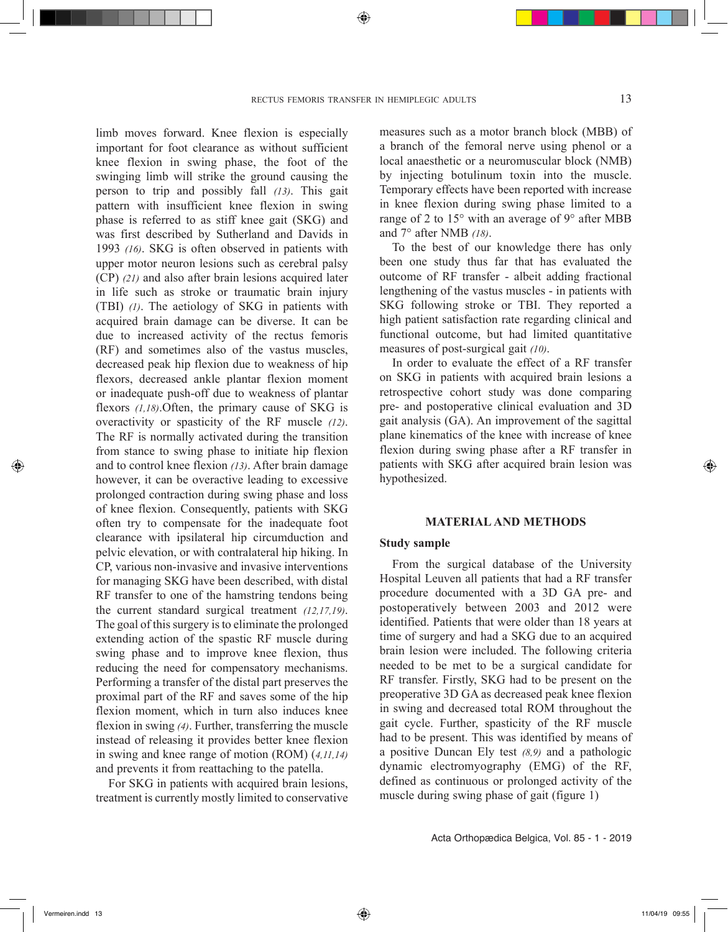limb moves forward. Knee flexion is especially important for foot clearance as without sufficient knee flexion in swing phase, the foot of the swinging limb will strike the ground causing the person to trip and possibly fall *(13)*. This gait pattern with insufficient knee flexion in swing phase is referred to as stiff knee gait (SKG) and was first described by Sutherland and Davids in 1993 *(16)*. SKG is often observed in patients with upper motor neuron lesions such as cerebral palsy (CP) *(21)* and also after brain lesions acquired later in life such as stroke or traumatic brain injury (TBI) *(1)*. The aetiology of SKG in patients with acquired brain damage can be diverse. It can be due to increased activity of the rectus femoris (RF) and sometimes also of the vastus muscles, decreased peak hip flexion due to weakness of hip flexors, decreased ankle plantar flexion moment or inadequate push-off due to weakness of plantar flexors *(1,18)*.Often, the primary cause of SKG is overactivity or spasticity of the RF muscle *(12)*. The RF is normally activated during the transition from stance to swing phase to initiate hip flexion and to control knee flexion *(13)*. After brain damage however, it can be overactive leading to excessive prolonged contraction during swing phase and loss of knee flexion. Consequently, patients with SKG often try to compensate for the inadequate foot clearance with ipsilateral hip circumduction and pelvic elevation, or with contralateral hip hiking. In CP, various non-invasive and invasive interventions for managing SKG have been described, with distal RF transfer to one of the hamstring tendons being the current standard surgical treatment *(12,17,19)*. The goal of this surgery is to eliminate the prolonged extending action of the spastic RF muscle during swing phase and to improve knee flexion, thus reducing the need for compensatory mechanisms. Performing a transfer of the distal part preserves the proximal part of the RF and saves some of the hip flexion moment, which in turn also induces knee flexion in swing *(4)*. Further, transferring the muscle instead of releasing it provides better knee flexion in swing and knee range of motion (ROM) (*4,11,14)* and prevents it from reattaching to the patella.

For SKG in patients with acquired brain lesions, treatment is currently mostly limited to conservative measures such as a motor branch block (MBB) of a branch of the femoral nerve using phenol or a local anaesthetic or a neuromuscular block (NMB) by injecting botulinum toxin into the muscle. Temporary effects have been reported with increase in knee flexion during swing phase limited to a range of 2 to 15° with an average of 9° after MBB and 7° after NMB *(18)*.

To the best of our knowledge there has only been one study thus far that has evaluated the outcome of RF transfer - albeit adding fractional lengthening of the vastus muscles - in patients with SKG following stroke or TBI. They reported a high patient satisfaction rate regarding clinical and functional outcome, but had limited quantitative measures of post-surgical gait *(10)*.

In order to evaluate the effect of a RF transfer on SKG in patients with acquired brain lesions a retrospective cohort study was done comparing pre- and postoperative clinical evaluation and 3D gait analysis (GA). An improvement of the sagittal plane kinematics of the knee with increase of knee flexion during swing phase after a RF transfer in patients with SKG after acquired brain lesion was hypothesized.

#### **MATERIAL AND METHODS**

### **Study sample**

From the surgical database of the University Hospital Leuven all patients that had a RF transfer procedure documented with a 3D GA pre- and postoperatively between 2003 and 2012 were identified. Patients that were older than 18 years at time of surgery and had a SKG due to an acquired brain lesion were included. The following criteria needed to be met to be a surgical candidate for RF transfer. Firstly, SKG had to be present on the preoperative 3D GA as decreased peak knee flexion in swing and decreased total ROM throughout the gait cycle. Further, spasticity of the RF muscle had to be present. This was identified by means of a positive Duncan Ely test *(8,9)* and a pathologic dynamic electromyography (EMG) of the RF, defined as continuous or prolonged activity of the muscle during swing phase of gait (figure 1)

Acta Orthopædica Belgica, Vol. 85 - 1 - 2019

Vermeiren.indd 13 11/04/19 09:55

⊕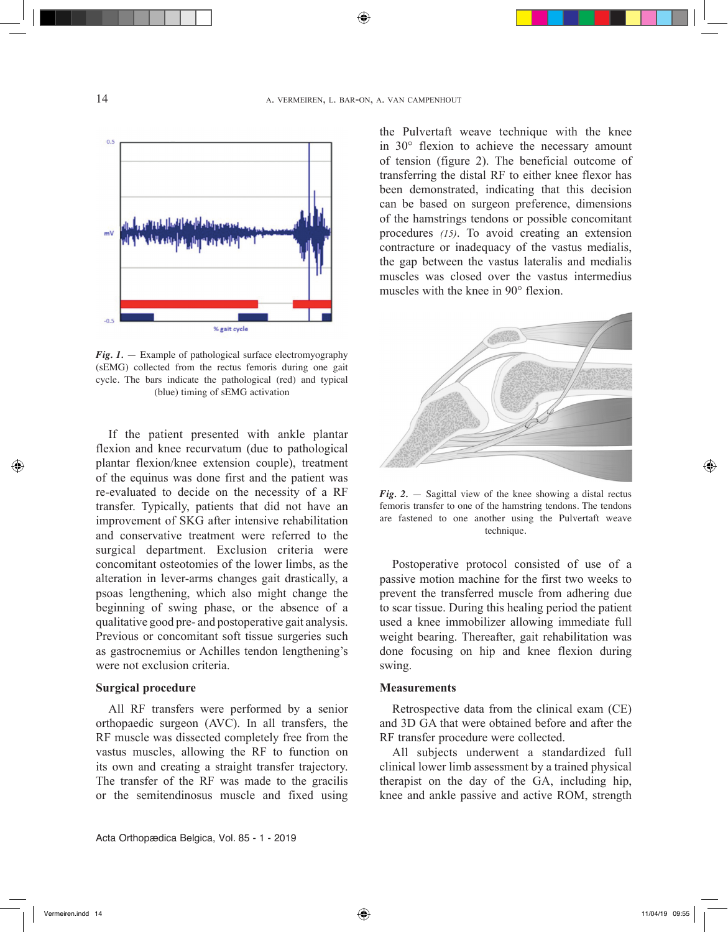⊕



*Fig. 1.* — Example of pathological surface electromyography (sEMG) collected from the rectus femoris during one gait cycle. The bars indicate the pathological (red) and typical (blue) timing of sEMG activation

If the patient presented with ankle plantar flexion and knee recurvatum (due to pathological plantar flexion/knee extension couple), treatment of the equinus was done first and the patient was re-evaluated to decide on the necessity of a RF transfer. Typically, patients that did not have an improvement of SKG after intensive rehabilitation and conservative treatment were referred to the surgical department. Exclusion criteria were concomitant osteotomies of the lower limbs, as the alteration in lever-arms changes gait drastically, a psoas lengthening, which also might change the beginning of swing phase, or the absence of a qualitative good pre- and postoperative gait analysis. Previous or concomitant soft tissue surgeries such as gastrocnemius or Achilles tendon lengthening's were not exclusion criteria.

# **Surgical procedure**

All RF transfers were performed by a senior orthopaedic surgeon (AVC). In all transfers, the RF muscle was dissected completely free from the vastus muscles, allowing the RF to function on its own and creating a straight transfer trajectory. The transfer of the RF was made to the gracilis or the semitendinosus muscle and fixed using

Acta Orthopædica Belgica, Vol. 85 - 1 - 2019

the Pulvertaft weave technique with the knee in 30° flexion to achieve the necessary amount of tension (figure 2). The beneficial outcome of transferring the distal RF to either knee flexor has been demonstrated, indicating that this decision can be based on surgeon preference, dimensions of the hamstrings tendons or possible concomitant procedures *(15)*. To avoid creating an extension contracture or inadequacy of the vastus medialis, the gap between the vastus lateralis and medialis muscles was closed over the vastus intermedius muscles with the knee in 90° flexion.



*Fig. 2.* — Sagittal view of the knee showing a distal rectus femoris transfer to one of the hamstring tendons. The tendons are fastened to one another using the Pulvertaft weave technique.

Postoperative protocol consisted of use of a passive motion machine for the first two weeks to prevent the transferred muscle from adhering due to scar tissue. During this healing period the patient used a knee immobilizer allowing immediate full weight bearing. Thereafter, gait rehabilitation was done focusing on hip and knee flexion during swing.

### **Measurements**

Retrospective data from the clinical exam (CE) and 3D GA that were obtained before and after the RF transfer procedure were collected.

All subjects underwent a standardized full clinical lower limb assessment by a trained physical therapist on the day of the GA, including hip, knee and ankle passive and active ROM, strength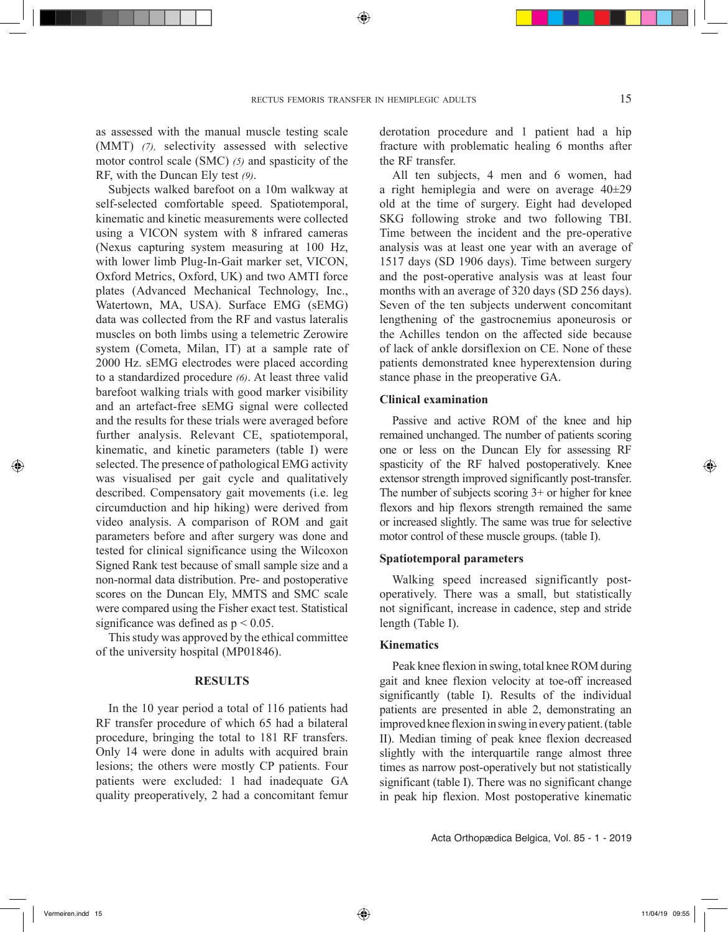as assessed with the manual muscle testing scale (MMT) *(7),* selectivity assessed with selective motor control scale (SMC) *(5)* and spasticity of the RF, with the Duncan Ely test *(9)*.

Subjects walked barefoot on a 10m walkway at self-selected comfortable speed. Spatiotemporal, kinematic and kinetic measurements were collected using a VICON system with 8 infrared cameras (Nexus capturing system measuring at 100 Hz, with lower limb Plug-In-Gait marker set, VICON, Oxford Metrics, Oxford, UK) and two AMTI force plates (Advanced Mechanical Technology, Inc., Watertown, MA, USA). Surface EMG (sEMG) data was collected from the RF and vastus lateralis muscles on both limbs using a telemetric Zerowire system (Cometa, Milan, IT) at a sample rate of 2000 Hz. sEMG electrodes were placed according to a standardized procedure *(6)*. At least three valid barefoot walking trials with good marker visibility and an artefact-free sEMG signal were collected and the results for these trials were averaged before further analysis. Relevant CE, spatiotemporal, kinematic, and kinetic parameters (table I) were selected. The presence of pathological EMG activity was visualised per gait cycle and qualitatively described. Compensatory gait movements (i.e. leg circumduction and hip hiking) were derived from video analysis. A comparison of ROM and gait parameters before and after surgery was done and tested for clinical significance using the Wilcoxon Signed Rank test because of small sample size and a non-normal data distribution. Pre- and postoperative scores on the Duncan Ely, MMTS and SMC scale were compared using the Fisher exact test. Statistical significance was defined as  $p < 0.05$ .

This study was approved by the ethical committee of the university hospital (MP01846).

### **RESULTS**

In the 10 year period a total of 116 patients had RF transfer procedure of which 65 had a bilateral procedure, bringing the total to 181 RF transfers. Only 14 were done in adults with acquired brain lesions; the others were mostly CP patients. Four patients were excluded: 1 had inadequate GA quality preoperatively, 2 had a concomitant femur derotation procedure and 1 patient had a hip fracture with problematic healing 6 months after the RF transfer.

All ten subjects, 4 men and 6 women, had a right hemiplegia and were on average 40±29 old at the time of surgery. Eight had developed SKG following stroke and two following TBI. Time between the incident and the pre-operative analysis was at least one year with an average of 1517 days (SD 1906 days). Time between surgery and the post-operative analysis was at least four months with an average of 320 days (SD 256 days). Seven of the ten subjects underwent concomitant lengthening of the gastrocnemius aponeurosis or the Achilles tendon on the affected side because of lack of ankle dorsiflexion on CE. None of these patients demonstrated knee hyperextension during stance phase in the preoperative GA.

# **Clinical examination**

Passive and active ROM of the knee and hip remained unchanged. The number of patients scoring one or less on the Duncan Ely for assessing RF spasticity of the RF halved postoperatively. Knee extensor strength improved significantly post-transfer. The number of subjects scoring 3+ or higher for knee flexors and hip flexors strength remained the same or increased slightly. The same was true for selective motor control of these muscle groups. (table I).

# **Spatiotemporal parameters**

Walking speed increased significantly postoperatively. There was a small, but statistically not significant, increase in cadence, step and stride length (Table I).

### **Kinematics**

Peak knee flexion in swing, total knee ROM during gait and knee flexion velocity at toe-off increased significantly (table I). Results of the individual patients are presented in able 2, demonstrating an improved knee flexion in swing in every patient. (table II). Median timing of peak knee flexion decreased slightly with the interquartile range almost three times as narrow post-operatively but not statistically significant (table I). There was no significant change in peak hip flexion. Most postoperative kinematic

Acta Orthopædica Belgica, Vol. 85 - 1 - 2019

Vermeiren.indd 15 11/04/19 09:55

◈

⊕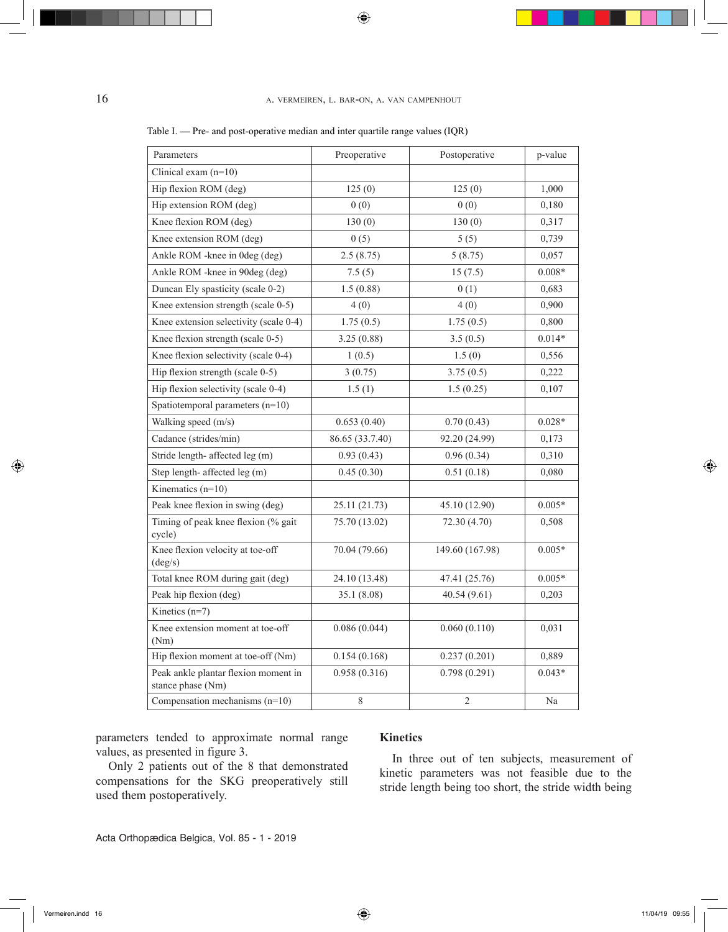# 16 a. vermeiren, l. bar-on, a. van campenhout

| Parameters                                                | Preoperative    | Postoperative   | p-value  |
|-----------------------------------------------------------|-----------------|-----------------|----------|
| Clinical exam $(n=10)$                                    |                 |                 |          |
| Hip flexion ROM (deg)                                     | 125(0)          | 125(0)<br>1,000 |          |
| Hip extension ROM (deg)                                   | 0(0)            | 0(0)            | 0,180    |
| Knee flexion ROM (deg)                                    | 130(0)          | 130(0)          | 0,317    |
| Knee extension ROM (deg)                                  | 0(5)            | 5(5)            | 0,739    |
| Ankle ROM -knee in 0deg (deg)                             | 2.5(8.75)       | 5(8.75)         | 0,057    |
| Ankle ROM - knee in 90 deg (deg)                          | 7.5(5)          | 15(7.5)         | $0.008*$ |
| Duncan Ely spasticity (scale 0-2)                         | 1.5(0.88)       | 0(1)            | 0,683    |
| Knee extension strength (scale 0-5)                       | 4(0)            | 4(0)            | 0,900    |
| Knee extension selectivity (scale 0-4)                    | 1.75(0.5)       | 1.75(0.5)       | 0,800    |
| Knee flexion strength (scale 0-5)                         | 3.25(0.88)      | 3.5(0.5)        | $0.014*$ |
| Knee flexion selectivity (scale 0-4)                      | 1(0.5)          | 1.5(0)          | 0,556    |
| Hip flexion strength (scale 0-5)                          | 3(0.75)         | 3.75(0.5)       | 0,222    |
| Hip flexion selectivity (scale 0-4)                       | 1.5(1)          | 1.5(0.25)       | 0,107    |
| Spatiotemporal parameters (n=10)                          |                 |                 |          |
| Walking speed (m/s)                                       | 0.653(0.40)     | 0.70(0.43)      | $0.028*$ |
| Cadance (strides/min)                                     | 86.65 (33.7.40) | 92.20 (24.99)   | 0,173    |
| Stride length- affected leg (m)                           | 0.93(0.43)      | 0.96(0.34)      | 0,310    |
| Step length- affected leg (m)                             | 0.45(0.30)      | 0.51(0.18)      | 0,080    |
| Kinematics $(n=10)$                                       |                 |                 |          |
| Peak knee flexion in swing (deg)                          | 25.11 (21.73)   | 45.10 (12.90)   | $0.005*$ |
| Timing of peak knee flexion (% gait<br>cycle)             | 75.70 (13.02)   | 72.30 (4.70)    | 0,508    |
| Knee flexion velocity at toe-off<br>$(\text{deg/s})$      | 70.04 (79.66)   | 149.60 (167.98) | $0.005*$ |
| Total knee ROM during gait (deg)                          | 24.10 (13.48)   | 47.41 (25.76)   | $0.005*$ |
| Peak hip flexion (deg)                                    | 35.1 (8.08)     | 40.54(9.61)     | 0,203    |
| Kinetics $(n=7)$                                          |                 |                 |          |
| Knee extension moment at toe-off<br>(Nm)                  | 0.086(0.044)    | 0.060(0.110)    | 0,031    |
| Hip flexion moment at toe-off (Nm)                        | 0.154(0.168)    | 0.237(0.201)    | 0,889    |
| Peak ankle plantar flexion moment in<br>stance phase (Nm) | 0.958(0.316)    | 0.798(0.291)    | $0.043*$ |
| Compensation mechanisms $(n=10)$                          | 8               | $\overline{2}$  | Na       |

### Table I. **—** Pre- and post-operative median and inter quartile range values (IQR)

parameters tended to approximate normal range values, as presented in figure 3.

Only 2 patients out of the 8 that demonstrated compensations for the SKG preoperatively still used them postoperatively.

# **Kinetics**

In three out of ten subjects, measurement of kinetic parameters was not feasible due to the stride length being too short, the stride width being

Acta Orthopædica Belgica, Vol. 85 - 1 - 2019

◈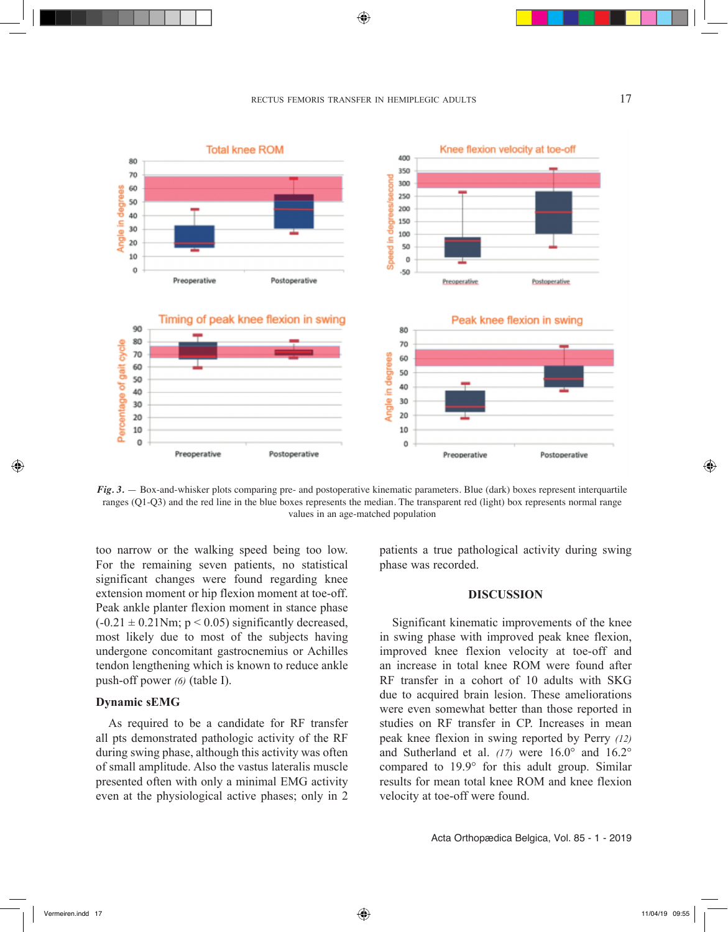$\bigcirc$ 

# rectus femoris transfer in hemiplegic adults 17





too narrow or the walking speed being too low. For the remaining seven patients, no statistical significant changes were found regarding knee extension moment or hip flexion moment at toe-off. Peak ankle planter flexion moment in stance phase  $(-0.21 \pm 0.21$ Nm; p < 0.05) significantly decreased, most likely due to most of the subjects having undergone concomitant gastrocnemius or Achilles tendon lengthening which is known to reduce ankle push-off power *(6)* (table I).

# **Dynamic sEMG**

As required to be a candidate for RF transfer all pts demonstrated pathologic activity of the RF during swing phase, although this activity was often of small amplitude. Also the vastus lateralis muscle presented often with only a minimal EMG activity even at the physiological active phases; only in 2 patients a true pathological activity during swing phase was recorded.

# **DISCUSSION**

Significant kinematic improvements of the knee in swing phase with improved peak knee flexion, improved knee flexion velocity at toe-off and an increase in total knee ROM were found after RF transfer in a cohort of 10 adults with SKG due to acquired brain lesion. These ameliorations were even somewhat better than those reported in studies on RF transfer in CP. Increases in mean peak knee flexion in swing reported by Perry *(12)* and Sutherland et al. *(17)* were 16.0° and 16.2° compared to 19.9° for this adult group. Similar results for mean total knee ROM and knee flexion velocity at toe-off were found.

Acta Orthopædica Belgica, Vol. 85 - 1 - 2019

◈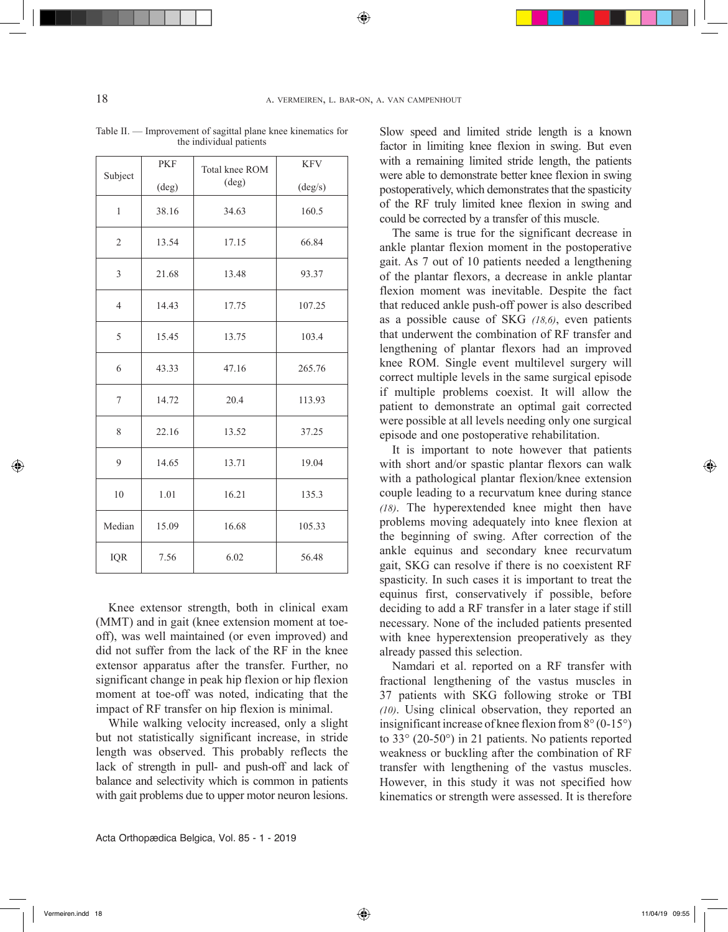◈

| Subject        | <b>PKF</b> | Total knee ROM | <b>KFV</b> |
|----------------|------------|----------------|------------|
|                | (deg)      | (deg)          | (deg/s)    |
| $\mathbf{1}$   | 38.16      | 34.63          | 160.5      |
| $\mathfrak{2}$ | 13.54      | 17.15          | 66.84      |
| $\mathfrak{Z}$ | 21.68      | 13.48          | 93.37      |
| $\overline{4}$ | 14.43      | 17.75          | 107.25     |
| 5              | 15.45      | 13.75          | 103.4      |
| 6              | 43.33      | 47.16          | 265.76     |
| 7              | 14.72      | 20.4           | 113.93     |
| 8              | 22.16      | 13.52          | 37.25      |
| 9              | 14.65      | 13.71          | 19.04      |
| 10             | 1.01       | 16.21          | 135.3      |
| Median         | 15.09      | 16.68          | 105.33     |
| IQR            | 7.56       | 6.02           | 56.48      |

Table II. — Improvement of sagittal plane knee kinematics for the individual patients

Knee extensor strength, both in clinical exam (MMT) and in gait (knee extension moment at toeoff), was well maintained (or even improved) and did not suffer from the lack of the RF in the knee extensor apparatus after the transfer. Further, no significant change in peak hip flexion or hip flexion moment at toe-off was noted, indicating that the impact of RF transfer on hip flexion is minimal.

While walking velocity increased, only a slight but not statistically significant increase, in stride length was observed. This probably reflects the lack of strength in pull- and push-off and lack of balance and selectivity which is common in patients with gait problems due to upper motor neuron lesions. Slow speed and limited stride length is a known factor in limiting knee flexion in swing. But even with a remaining limited stride length, the patients were able to demonstrate better knee flexion in swing postoperatively, which demonstrates that the spasticity of the RF truly limited knee flexion in swing and could be corrected by a transfer of this muscle.

The same is true for the significant decrease in ankle plantar flexion moment in the postoperative gait. As 7 out of 10 patients needed a lengthening of the plantar flexors, a decrease in ankle plantar flexion moment was inevitable. Despite the fact that reduced ankle push-off power is also described as a possible cause of SKG *(18,6)*, even patients that underwent the combination of RF transfer and lengthening of plantar flexors had an improved knee ROM. Single event multilevel surgery will correct multiple levels in the same surgical episode if multiple problems coexist. It will allow the patient to demonstrate an optimal gait corrected were possible at all levels needing only one surgical episode and one postoperative rehabilitation.

It is important to note however that patients with short and/or spastic plantar flexors can walk with a pathological plantar flexion/knee extension couple leading to a recurvatum knee during stance *(18)*. The hyperextended knee might then have problems moving adequately into knee flexion at the beginning of swing. After correction of the ankle equinus and secondary knee recurvatum gait, SKG can resolve if there is no coexistent RF spasticity. In such cases it is important to treat the equinus first, conservatively if possible, before deciding to add a RF transfer in a later stage if still necessary. None of the included patients presented with knee hyperextension preoperatively as they already passed this selection.

Namdari et al. reported on a RF transfer with fractional lengthening of the vastus muscles in 37 patients with SKG following stroke or TBI *(10)*. Using clinical observation, they reported an insignificant increase of knee flexion from 8° (0-15°) to 33° (20-50°) in 21 patients. No patients reported weakness or buckling after the combination of RF transfer with lengthening of the vastus muscles. However, in this study it was not specified how kinematics or strength were assessed. It is therefore

◈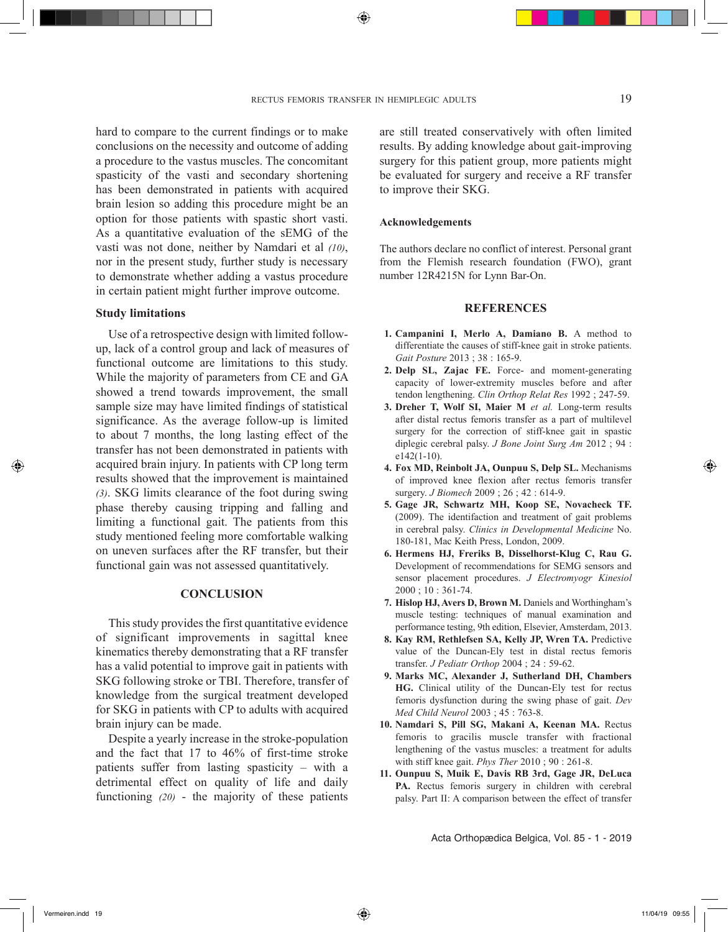hard to compare to the current findings or to make conclusions on the necessity and outcome of adding a procedure to the vastus muscles. The concomitant spasticity of the vasti and secondary shortening has been demonstrated in patients with acquired brain lesion so adding this procedure might be an option for those patients with spastic short vasti. As a quantitative evaluation of the sEMG of the vasti was not done, neither by Namdari et al *(10)*, nor in the present study, further study is necessary to demonstrate whether adding a vastus procedure in certain patient might further improve outcome.

### **Study limitations**

Use of a retrospective design with limited followup, lack of a control group and lack of measures of functional outcome are limitations to this study. While the majority of parameters from CE and GA showed a trend towards improvement, the small sample size may have limited findings of statistical significance. As the average follow-up is limited to about 7 months, the long lasting effect of the transfer has not been demonstrated in patients with acquired brain injury. In patients with CP long term results showed that the improvement is maintained *(3)*. SKG limits clearance of the foot during swing phase thereby causing tripping and falling and limiting a functional gait. The patients from this study mentioned feeling more comfortable walking on uneven surfaces after the RF transfer, but their functional gain was not assessed quantitatively.

# **CONCLUSION**

This study provides the first quantitative evidence of significant improvements in sagittal knee kinematics thereby demonstrating that a RF transfer has a valid potential to improve gait in patients with SKG following stroke or TBI. Therefore, transfer of knowledge from the surgical treatment developed for SKG in patients with CP to adults with acquired brain injury can be made.

Despite a yearly increase in the stroke-population and the fact that 17 to 46% of first-time stroke patients suffer from lasting spasticity – with a detrimental effect on quality of life and daily functioning *(20)* - the majority of these patients

are still treated conservatively with often limited results. By adding knowledge about gait-improving surgery for this patient group, more patients might be evaluated for surgery and receive a RF transfer to improve their SKG.

#### **Acknowledgements**

The authors declare no conflict of interest. Personal grant from the Flemish research foundation (FWO), grant number 12R4215N for Lynn Bar-On.

### **REFERENCES**

- **1. Campanini I, Merlo A, Damiano B.** A method to differentiate the causes of stiff-knee gait in stroke patients. *Gait Posture* 2013 ; 38 : 165-9.
- **2. Delp SL, Zajac FE.** Force- and moment-generating capacity of lower-extremity muscles before and after tendon lengthening. *Clin Orthop Relat Res* 1992 ; 247-59.
- **3. Dreher T, Wolf SI, Maier M** *et al.* Long-term results after distal rectus femoris transfer as a part of multilevel surgery for the correction of stiff-knee gait in spastic diplegic cerebral palsy. *J Bone Joint Surg Am* 2012 ; 94 : e142(1-10).
- **4. Fox MD, Reinbolt JA, Ounpuu S, Delp SL.** Mechanisms of improved knee flexion after rectus femoris transfer surgery. *J Biomech* 2009 ; 26 ; 42 : 614-9.
- **5. Gage JR, Schwartz MH, Koop SE, Novacheck TF.** (2009). The identifaction and treatment of gait problems in cerebral palsy. *Clinics in Developmental Medicine* No. 180-181, Mac Keith Press, London, 2009.
- **6. Hermens HJ, Freriks B, Disselhorst-Klug C, Rau G.**  Development of recommendations for SEMG sensors and sensor placement procedures. *J Electromyogr Kinesiol*  2000 ; 10 : 361-74.
- **7. Hislop HJ, Avers D, Brown M.** Daniels and Worthingham's muscle testing: techniques of manual examination and performance testing, 9th edition, Elsevier, Amsterdam, 2013.
- **8. Kay RM, Rethlefsen SA, Kelly JP, Wren TA.** Predictive value of the Duncan-Ely test in distal rectus femoris transfer. *J Pediatr Orthop* 2004 ; 24 : 59-62.
- **9. Marks MC, Alexander J, Sutherland DH, Chambers HG.** Clinical utility of the Duncan-Ely test for rectus femoris dysfunction during the swing phase of gait. *Dev Med Child Neurol* 2003 ; 45 : 763-8.
- **10. Namdari S, Pill SG, Makani A, Keenan MA.** Rectus femoris to gracilis muscle transfer with fractional lengthening of the vastus muscles: a treatment for adults with stiff knee gait. *Phys Ther* 2010 ; 90 : 261-8.
- **11. Ounpuu S, Muik E, Davis RB 3rd, Gage JR, DeLuca PA.** Rectus femoris surgery in children with cerebral palsy. Part II: A comparison between the effect of transfer

Acta Orthopædica Belgica, Vol. 85 - 1 - 2019

⊕